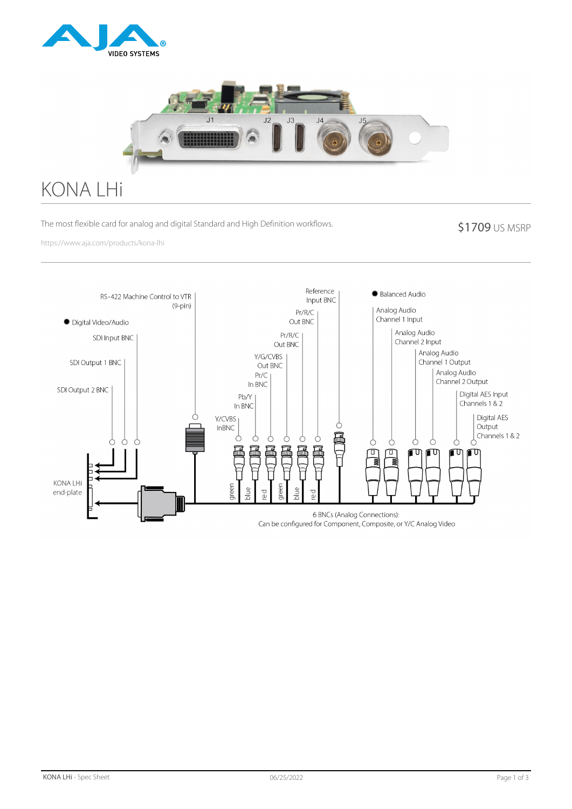



# KONA LHi

The most flexible card for analog and digital Standard and High Definition workflows.

#### \$1709 US MSRP

https://www.aja.com/products/kona-lhi

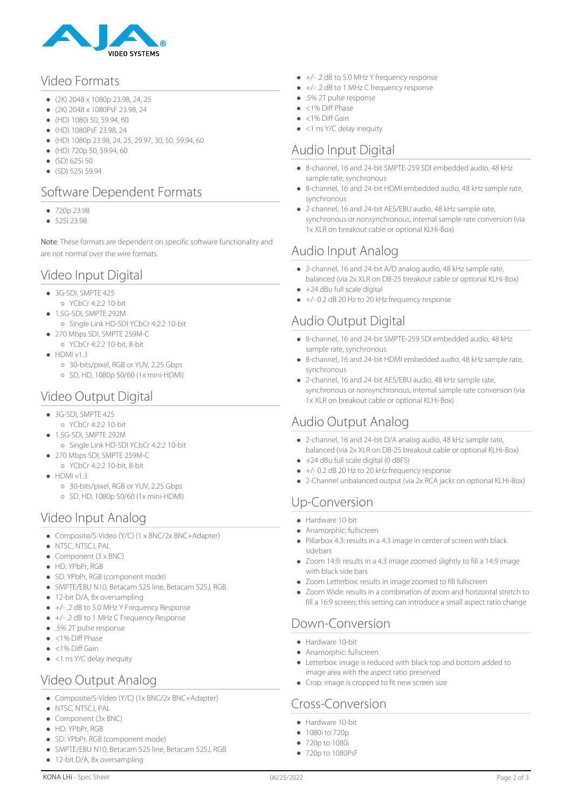

#### Video Formats

- (2K) 2048 x 1080p 23.98, 24, 25
- (2K) 2048 x 1080PsF 23.98, 24
- $(HD)$  1080i 50, 59.94, 60
- (HD) 1080PsF 23.98, 24
- (HD) 1080p 23.98, 24, 25, 29.97, 30, 50, 59.94, 60
- (HD) 720p 50, 59.94, 60
- $\bullet$  (SD) 625i 50
- $(SD)$  525i 59.94

### Software Dependent Formats

- $720p 23.98$
- 525i 23.98

Note: These formats are dependent on specific software functionality and are not normal over the wire formats.

### Video Input Digital

- 3G-SDI, SMPTE 425
- $O$  YCbCr 4:2:2 10-bit
- 1.5G-SDI, SMPTE 292M
- Single Link HD-SDI YCbCr 4:2:2 10-bit
- 270 Mbps SDI, SMPTE 259M-C YCbCr 4:2:2 10-bit, 8-bit
- $\bullet$  HDMI v1.3
	- 30-bits/pixel, RGB or YUV, 2.25 Gbps
	- SD, HD, 1080p 50/60 (1x mini-HDMI)

# Video Output Digital

- 3G-SDI, SMPTE 425
	- YCbCr 4:2:2 10-bit
- 1.5G-SDI, SMPTE 292M
- Single Link HD-SDI YCbCr 4:2:2 10-bit 270 Mbps SDI, SMPTE 259M-C
- YCbCr 4:2:2 10-bit, 8-bit
- $\bullet$  HDMI v1.3
	- 30-bits/pixel, RGB or YUV, 2.25 Gbps
	- SD, HD, 1080p 50/60 (1x mini-HDMI)

#### Video Input Analog

- Composite/S-Video (Y/C) (1 x BNC/2x BNC+Adapter)
- $\bullet$  NTSC, NTSCJ, PAL
- $\bullet$  Component (3 x BNC)
- $\bullet$  HD: YPbPr, RGB
- SD: YPbPr, RGB (component mode)
- SMPTE/EBU N10, Betacam 525 line, Betacam 525J, RGB
- 12-bit D/A, 8x oversampling
- $+/-$  .2 dB to 5.0 MHz Y Frequency Response
- $+/-$  .2 dB to 1 MHz C Frequency Response
- .5% 2T pulse response
- $\bullet$  <1% Diff Phase
- $\bullet$  <1% Diff Gain
- <1 ns Y/C delay inequity

# Video Output Analog

- Composite/S-Video (Y/C) (1x BNC/2x BNC+Adapter)
- NTSC, NTSCJ, PAL
- Component (3x BNC)
- $\bullet$  HD: YPbPr, RGB
- SD: YPbPr, RGB (component mode)
- SMPTE/EBU N10, Betacam 525 line, Betacam 525J, RGB
- 12-bit D/A, 8x oversampling
- +/- .2 dB to 5.0 MHz Y frequency response
- +/- .2 dB to 1 MHz C frequency response
- .5% 2T pulse response
- <1% Diff Phase
- <1% Diff Gain
- <1 ns Y/C delay inequity

#### Audio Input Digital

- 8-channel, 16 and 24-bit SMPTE-259 SDI embedded audio, 48 kHz sample rate, synchronous
- 8-channel, 16 and 24-bit HDMI embedded audio, 48 kHz sample rate, synchronous
- 2-channel, 16 and 24-bit AES/EBU audio, 48 kHz sample rate, synchronous or nonsynchronous, internal sample rate conversion (via 1x XLR on breakout cable or optional KLHi-Box)

### Audio Input Analog

- 2-channel, 16 and 24-bit A/D analog audio, 48 kHz sample rate, balanced (via 2x XLR on DB-25 breakout cable or optional KLHi-Box)
- +24 dBu full scale digital  $\bullet$
- +/- 0.2 dB 20 Hz to 20 kHz frequency response

### Audio Output Digital

- 8-channel, 16 and 24-bit SMPTE-259 SDI embedded audio, 48 kHz sample rate, synchronous
- 8-channel, 16 and 24-bit HDMI embedded audio, 48 kHz sample rate, synchronous
- 2-channel, 16 and 24-bit AES/EBU audio, 48 kHz sample rate, synchronous or nonsynchronous, internal sample rate conversion (via 1x XLR on breakout cable or optional KLHi-Box)

# Audio Output Analog

- 2-channel, 16 and 24-bit D/A analog audio, 48 kHz sample rate, balanced (via 2x XLR on DB-25 breakout cable or optional KLHi-Box)
- +24 dBu full scale digital (0 dBFS)
- +/- 0.2 dB 20 Hz to 20 kHz frequency response
- 2-Channel unbalanced output (via 2x RCA jacks on optional KLHi-Box)

# Up-Conversion

- Hardware 10-bit
- Anamorphic: fullscreen
- Pillarbox 4:3: results in a 4:3 image in center of screen with black sidebars
- Zoom 14:9: results in a 4:3 image zoomed slightly to fill a 14:9 image with black side bars
- Zoom Letterbox: results in image zoomed to fill fullscreen
- Zoom Wide: results in a combination of zoom and horizontal stretch to fill a 16:9 screen; this setting can introduce a small aspect ratio change

# Down-Conversion

- Hardware 10-bit
- Anamorphic: fullscreen
- Letterbox: image is reduced with black top and bottom added to image area with the aspect ratio preserved
- Crop: image is cropped to fit new screen size

# Cross-Conversion

- Hardware 10-bit
- 1080i to 720p
- 720p to 1080i
- 720p to 1080PsF